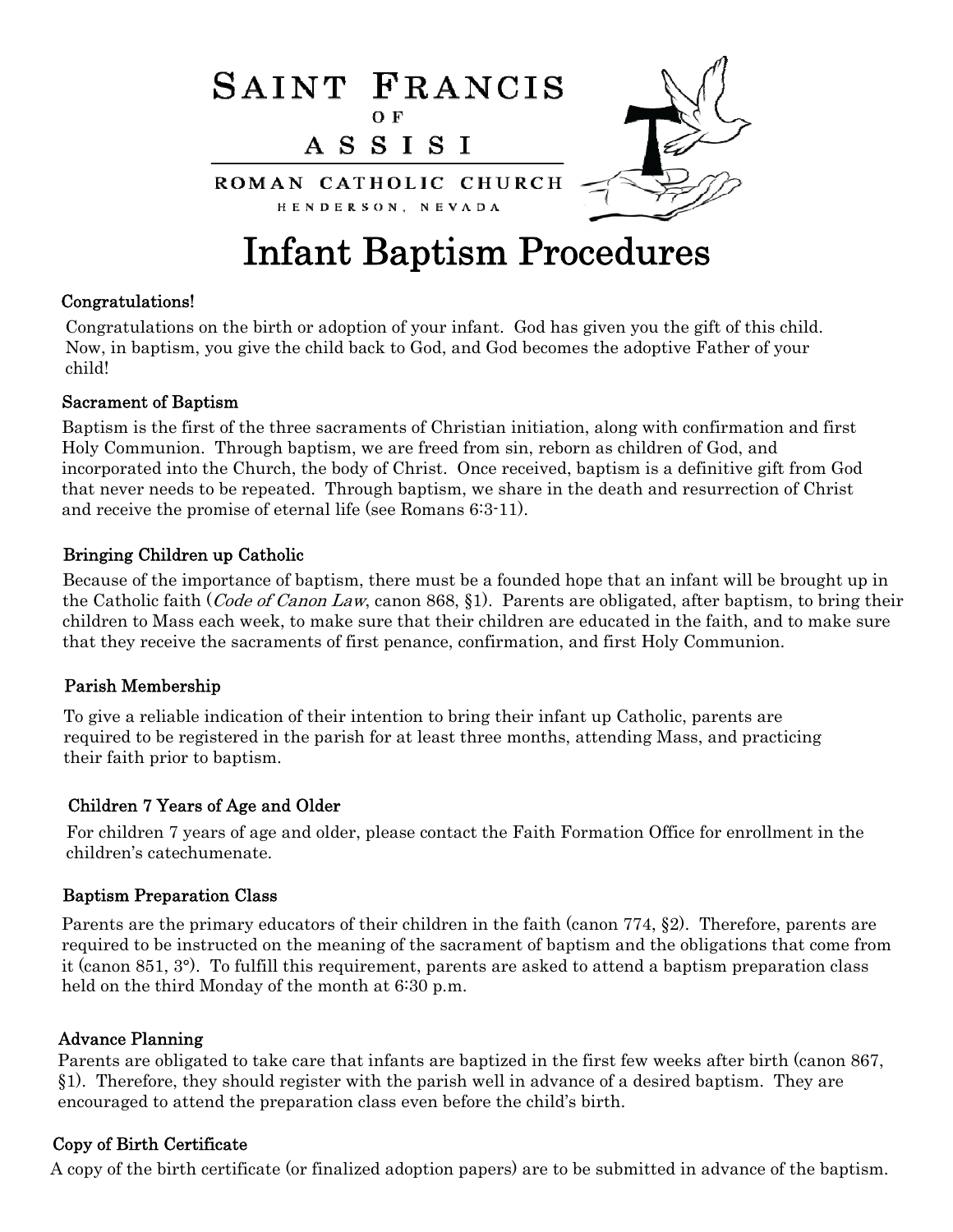

# Infant Baptism Procedures

#### Congratulations!

Congratulations on the birth or adoption of your infant. God has given you the gift of this child. Now, in baptism, you give the child back to God, and God becomes the adoptive Father of your child!

#### Sacrament of Baptism

Baptism is the first of the three sacraments of Christian initiation, along with confirmation and first Holy Communion. Through baptism, we are freed from sin, reborn as children of God, and incorporated into the Church, the body of Christ. Once received, baptism is a definitive gift from God that never needs to be repeated. Through baptism, we share in the death and resurrection of Christ and receive the promise of eternal life (see Romans 6:3-11).

#### Bringing Children up Catholic

Because of the importance of baptism, there must be a founded hope that an infant will be brought up in the Catholic faith (*Code of Canon Law*, canon 868, §1). Parents are obligated, after baptism, to bring their children to Mass each week, to make sure that their children are educated in the faith, and to make sure that they receive the sacraments of first penance, confirmation, and first Holy Communion.

#### Parish Membership

To give a reliable indication of their intention to bring their infant up Catholic, parents are required to be registered in the parish for at least three months, attending Mass, and practicing their faith prior to baptism.

#### Children 7 Years of Age and Older

For children 7 years of age and older, please contact the Faith Formation Office for enrollment in the children's catechumenate.

#### Baptism Preparation Class

Parents are the primary educators of their children in the faith (canon 774, §2). Therefore, parents are required to be instructed on the meaning of the sacrament of baptism and the obligations that come from it (canon 851, 3°). To fulfill this requirement, parents are asked to attend a baptism preparation class held on the third Monday of the month at 6:30 p.m.

#### Advance Planning

Parents are obligated to take care that infants are baptized in the first few weeks after birth (canon 867, §1). Therefore, they should register with the parish well in advance of a desired baptism. They are encouraged to attend the preparation class even before the child's birth.

# Copy of Birth Certificate

A copy of the birth certificate (or finalized adoption papers) are to be submitted in advance of the baptism.